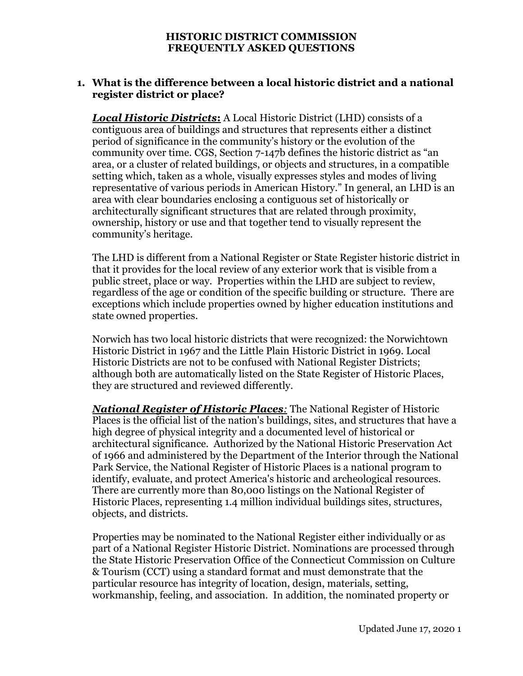### **1. What is the difference between a local historic district and a national register district or place?**

*Local Historic Districts***:** A Local Historic District (LHD) consists of a contiguous area of buildings and structures that represents either a distinct period of significance in the community's history or the evolution of the community over time. CGS, Section 7-147b defines the historic district as "an area, or a cluster of related buildings, or objects and structures, in a compatible setting which, taken as a whole, visually expresses styles and modes of living representative of various periods in American History." In general, an LHD is an area with clear boundaries enclosing a contiguous set of historically or architecturally significant structures that are related through proximity, ownership, history or use and that together tend to visually represent the community's heritage.

The LHD is different from a National Register or State Register historic district in that it provides for the local review of any exterior work that is visible from a public street, place or way. Properties within the LHD are subject to review, regardless of the age or condition of the specific building or structure. There are exceptions which include properties owned by higher education institutions and state owned properties.

Norwich has two local historic districts that were recognized: the Norwichtown Historic District in 1967 and the Little Plain Historic District in 1969. Local Historic Districts are not to be confused with National Register Districts; although both are automatically listed on the State Register of Historic Places, they are structured and reviewed differently.

*National Register of Historic Places:* The National Register of Historic Places is the official list of the nation's buildings, sites, and structures that have a high degree of physical integrity and a documented level of historical or architectural significance. Authorized by the National Historic Preservation Act of 1966 and administered by the Department of the Interior through the National Park Service, the National Register of Historic Places is a national program to identify, evaluate, and protect America's historic and archeological resources. There are currently more than 80,000 listings on the National Register of Historic Places, representing 1.4 million individual buildings sites, structures, objects, and districts.

Properties may be nominated to the National Register either individually or as part of a National Register Historic District. Nominations are processed through the State Historic Preservation Office of the Connecticut Commission on Culture & Tourism (CCT) using a standard format and must demonstrate that the particular resource has integrity of location, design, materials, setting, workmanship, feeling, and association. In addition, the nominated property or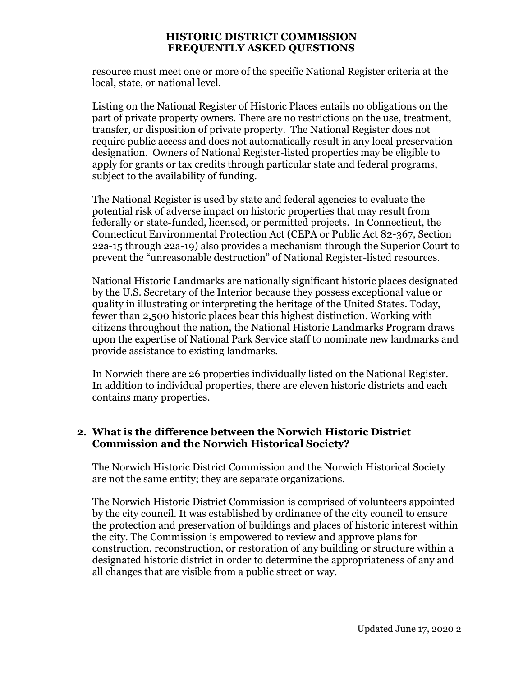resource must meet one or more of the specific National Register criteria at the local, state, or national level.

Listing on the National Register of Historic Places entails no obligations on the part of private property owners. There are no restrictions on the use, treatment, transfer, or disposition of private property. The National Register does not require public access and does not automatically result in any local preservation designation. Owners of National Register-listed properties may be eligible to apply for grants or tax credits through particular state and federal programs, subject to the availability of funding.

The National Register is used by state and federal agencies to evaluate the potential risk of adverse impact on historic properties that may result from federally or state-funded, licensed, or permitted projects. In Connecticut, the Connecticut Environmental Protection Act (CEPA or Public Act 82-367, Section 22a-15 through 22a-19) also provides a mechanism through the Superior Court to prevent the "unreasonable destruction" of National Register-listed resources.

National Historic Landmarks are nationally significant historic places designated by the U.S. Secretary of the Interior because they possess exceptional value or quality in illustrating or interpreting the heritage of the United States. Today, fewer than 2,500 historic places bear this highest distinction. Working with citizens throughout the nation, the National Historic Landmarks Program draws upon the expertise of National Park Service staff to nominate new landmarks and provide assistance to existing landmarks.

In Norwich there are 26 properties individually listed on the National Register. In addition to individual properties, there are eleven historic districts and each contains many properties.

## **2. What is the difference between the Norwich Historic District Commission and the Norwich Historical Society?**

The Norwich Historic District Commission and the Norwich Historical Society are not the same entity; they are separate organizations.

The Norwich Historic District Commission is comprised of volunteers appointed by the city council. It was established by ordinance of the city council to ensure the protection and preservation of buildings and places of historic interest within the city. The Commission is empowered to review and approve plans for construction, reconstruction, or restoration of any building or structure within a designated historic district in order to determine the appropriateness of any and all changes that are visible from a public street or way.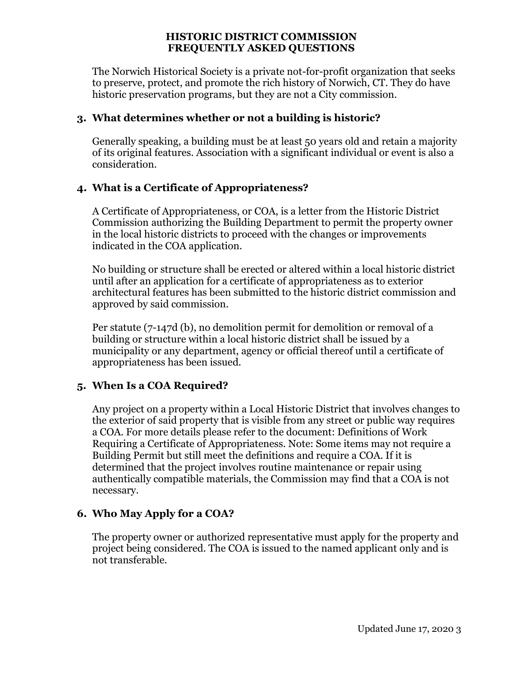The Norwich Historical Society is a private not-for-profit organization that seeks to preserve, protect, and promote the rich history of Norwich, CT. They do have historic preservation programs, but they are not a City commission.

## **3. What determines whether or not a building is historic?**

Generally speaking, a building must be at least 50 years old and retain a majority of its original features. Association with a significant individual or event is also a consideration.

# **4. What is a Certificate of Appropriateness?**

A Certificate of Appropriateness, or COA, is a letter from the Historic District Commission authorizing the Building Department to permit the property owner in the local historic districts to proceed with the changes or improvements indicated in the COA application.

No building or structure shall be erected or altered within a local historic district until after an application for a certificate of appropriateness as to exterior architectural features has been submitted to the historic district commission and approved by said commission.

Per statute (7-147d (b), no demolition permit for demolition or removal of a building or structure within a local historic district shall be issued by a municipality or any department, agency or official thereof until a certificate of appropriateness has been issued.

# **5. When Is a COA Required?**

Any project on a property within a Local Historic District that involves changes to the exterior of said property that is visible from any street or public way requires a COA. For more details please refer to the document: Definitions of Work Requiring a Certificate of Appropriateness. Note: Some items may not require a Building Permit but still meet the definitions and require a COA. If it is determined that the project involves routine maintenance or repair using authentically compatible materials, the Commission may find that a COA is not necessary.

# **6. Who May Apply for a COA?**

The property owner or authorized representative must apply for the property and project being considered. The COA is issued to the named applicant only and is not transferable.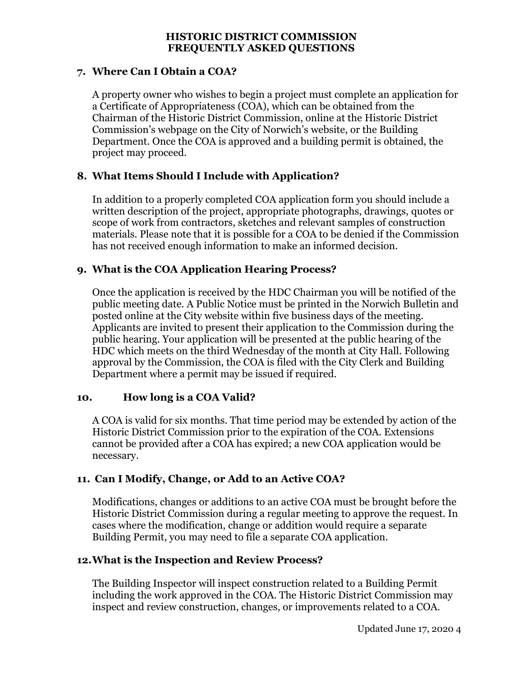## **7. Where Can I Obtain a COA?**

A property owner who wishes to begin a project must complete an application for a Certificate of Appropriateness (COA), which can be obtained from the Chairman of the Historic District Commission, online at the Historic District Commission's webpage on the City of Norwich's website, or the Building Department. Once the COA is approved and a building permit is obtained, the project may proceed.

## **8. What Items Should I Include with Application?**

In addition to a properly completed COA application form you should include a written description of the project, appropriate photographs, drawings, quotes or scope of work from contractors, sketches and relevant samples of construction materials. Please note that it is possible for a COA to be denied if the Commission has not received enough information to make an informed decision.

## **9. What is the COA Application Hearing Process?**

Once the application is received by the HDC Chairman you will be notified of the public meeting date. A Public Notice must be printed in the Norwich Bulletin and posted online at the City website within five business days of the meeting. Applicants are invited to present their application to the Commission during the public hearing. Your application will be presented at the public hearing of the HDC which meets on the third Wednesday of the month at City Hall. Following approval by the Commission, the COA is filed with the City Clerk and Building Department where a permit may be issued if required.

### **10. How long is a COA Valid?**

A COA is valid for six months. That time period may be extended by action of the Historic District Commission prior to the expiration of the COA. Extensions cannot be provided after a COA has expired; a new COA application would be necessary.

### **11. Can I Modify, Change, or Add to an Active COA?**

Modifications, changes or additions to an active COA must be brought before the Historic District Commission during a regular meeting to approve the request. In cases where the modification, change or addition would require a separate Building Permit, you may need to file a separate COA application.

### **12.What is the Inspection and Review Process?**

The Building Inspector will inspect construction related to a Building Permit including the work approved in the COA. The Historic District Commission may inspect and review construction, changes, or improvements related to a COA.